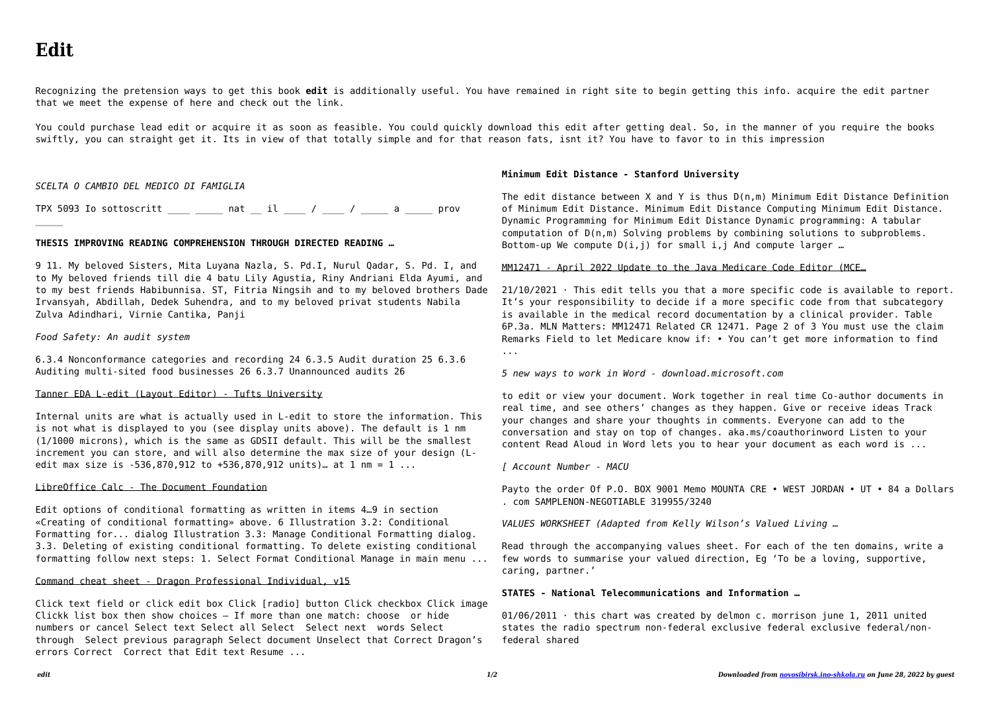$\mathcal{L}$ 

Recognizing the pretension ways to get this book **edit** is additionally useful. You have remained in right site to begin getting this info. acquire the edit partner that we meet the expense of here and check out the link.

You could purchase lead edit or acquire it as soon as feasible. You could quickly download this edit after getting deal. So, in the manner of you require the books swiftly, you can straight get it. Its in view of that totally simple and for that reason fats, isnt it? You have to favor to in this impression

#### *SCELTA O CAMBIO DEL MEDICO DI FAMIGLIA*

TPX 5093 Io sottoscritt \_\_\_\_ \_\_\_\_ nat \_\_ il \_\_\_\_ / \_\_\_\_ / \_\_\_\_ a \_\_\_\_\_ prov

Internal units are what is actually used in L-edit to store the information. This is not what is displayed to you (see display units above). The default is 1 nm (1/1000 microns), which is the same as GDSII default. This will be the smallest increment you can store, and will also determine the max size of your design (Ledit max size is  $-536.870.912$  to  $+536.870.912$  units). at 1 nm = 1 ...

## **THESIS IMPROVING READING COMPREHENSION THROUGH DIRECTED READING …**

9 11. My beloved Sisters, Mita Luyana Nazla, S. Pd.I, Nurul Qadar, S. Pd. I, and to My beloved friends till die 4 batu Lily Agustia, Riny Andriani Elda Ayumi, and to my best friends Habibunnisa. ST, Fitria Ningsih and to my beloved brothers Dade Irvansyah, Abdillah, Dedek Suhendra, and to my beloved privat students Nabila Zulva Adindhari, Virnie Cantika, Panji

### *Food Safety: An audit system*

6.3.4 Nonconformance categories and recording 24 6.3.5 Audit duration 25 6.3.6 Auditing multi-sited food businesses 26 6.3.7 Unannounced audits 26

The edit distance between X and Y is thus D(n,m) Minimum Edit Distance Definition of Minimum Edit Distance. Minimum Edit Distance Computing Minimum Edit Distance. Dynamic Programming for Minimum Edit Distance Dynamic programming: A tabular computation of D(n,m) Solving problems by combining solutions to subproblems. Bottom-up We compute  $D(i, j)$  for small i, j And compute larger ...

### Tanner EDA L-edit (Layout Editor) - Tufts University

 $21/10/2021$  · This edit tells you that a more specific code is available to report. It's your responsibility to decide if a more specific code from that subcategory is available in the medical record documentation by a clinical provider. Table 6P.3a. MLN Matters: MM12471 Related CR 12471. Page 2 of 3 You must use the claim Remarks Field to let Medicare know if: • You can't get more information to find ...

## LibreOffice Calc - The Document Foundation

Edit options of conditional formatting as written in items 4…9 in section «Creating of conditional formatting» above. 6 Illustration 3.2: Conditional Formatting for... dialog Illustration 3.3: Manage Conditional Formatting dialog. 3.3. Deleting of existing conditional formatting. To delete existing conditional formatting follow next steps: 1. Select Format Conditional Manage in main menu ... Payto the order Of P.O. BOX 9001 Memo MOUNTA CRE • WEST JORDAN • UT • 84 a Dollars . com SAMPLENON-NEGOTIABLE 319955/3240

## Command cheat sheet - Dragon Professional Individual, v15

Click text field or click edit box Click [radio] button Click checkbox Click image Clickk list box then show choices – If more than one match: choose or hide numbers or cancel Select text Select all Select Select next words Select through Select previous paragraph Select document Unselect that Correct Dragon's errors Correct Correct that Edit text Resume ...

## **Minimum Edit Distance - Stanford University**

#### MM12471 - April 2022 Update to the Java Medicare Code Editor (MCE…

*5 new ways to work in Word - download.microsoft.com*

to edit or view your document. Work together in real time Co-author documents in real time, and see others' changes as they happen. Give or receive ideas Track your changes and share your thoughts in comments. Everyone can add to the conversation and stay on top of changes. aka.ms/coauthorinword Listen to your content Read Aloud in Word lets you to hear your document as each word is ...

*[ Account Number - MACU*

*VALUES WORKSHEET (Adapted from Kelly Wilson's Valued Living …*

Read through the accompanying values sheet. For each of the ten domains, write a few words to summarise your valued direction, Eg 'To be a loving, supportive, caring, partner.'

## **STATES - National Telecommunications and Information …**

01/06/2011 · this chart was created by delmon c. morrison june 1, 2011 united states the radio spectrum non-federal exclusive federal exclusive federal/nonfederal shared